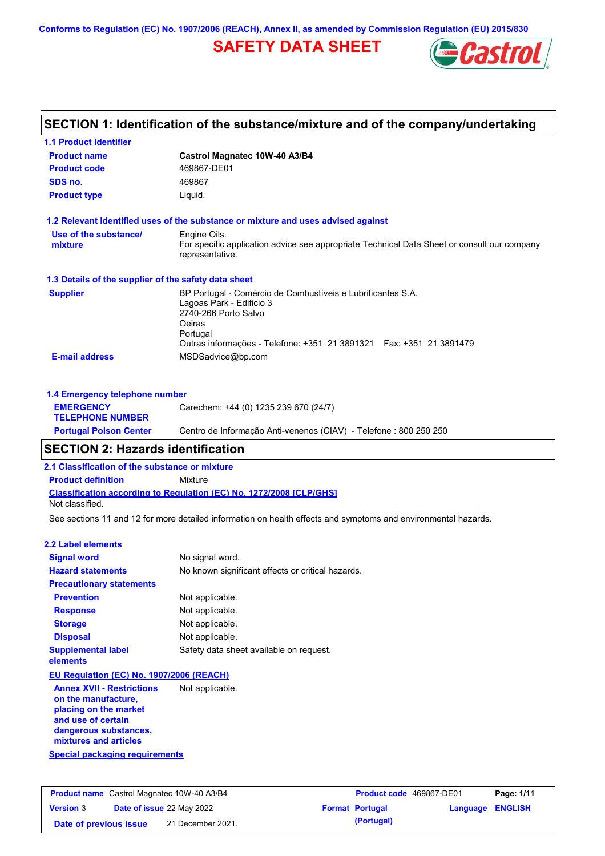**Conforms to Regulation (EC) No. 1907/2006 (REACH), Annex II, as amended by Commission Regulation (EU) 2015/830**

# **SAFETY DATA SHEET**



| SECTION 1: Identification of the substance/mixture and of the company/undertaking |                                                                                                                |  |  |  |  |
|-----------------------------------------------------------------------------------|----------------------------------------------------------------------------------------------------------------|--|--|--|--|
| <b>1.1 Product identifier</b>                                                     |                                                                                                                |  |  |  |  |
| <b>Product name</b>                                                               | Castrol Magnatec 10W-40 A3/B4                                                                                  |  |  |  |  |
| <b>Product code</b>                                                               | 469867-DE01                                                                                                    |  |  |  |  |
| SDS no.                                                                           | 469867                                                                                                         |  |  |  |  |
| <b>Product type</b>                                                               | Liquid.                                                                                                        |  |  |  |  |
|                                                                                   | 1.2 Relevant identified uses of the substance or mixture and uses advised against                              |  |  |  |  |
| Use of the substance/                                                             | Engine Oils.                                                                                                   |  |  |  |  |
| mixture                                                                           | For specific application advice see appropriate Technical Data Sheet or consult our company<br>representative. |  |  |  |  |
| 1.3 Details of the supplier of the safety data sheet                              |                                                                                                                |  |  |  |  |
| <b>Supplier</b>                                                                   | BP Portugal - Comércio de Combustíveis e Lubrificantes S.A.                                                    |  |  |  |  |
|                                                                                   | Lagoas Park - Edificio 3<br>2740-266 Porto Salvo                                                               |  |  |  |  |
|                                                                                   | Oeiras                                                                                                         |  |  |  |  |
|                                                                                   | Portugal                                                                                                       |  |  |  |  |
|                                                                                   | Outras informações - Telefone: +351 21 3891321   Fax: +351 21 3891479                                          |  |  |  |  |
| <b>E-mail address</b>                                                             | MSDSadvice@bp.com                                                                                              |  |  |  |  |
| 1.4 Emergency telephone number                                                    |                                                                                                                |  |  |  |  |
| <b>EMERGENCY</b><br><b>TELEPHONE NUMBER</b>                                       | Carechem: +44 (0) 1235 239 670 (24/7)                                                                          |  |  |  |  |
| <b>Portugal Poison Center</b>                                                     | Centro de Informação Anti-venenos (CIAV) - Telefone : 800 250 250                                              |  |  |  |  |
| <b>SECTION 2: Hazards identification</b>                                          |                                                                                                                |  |  |  |  |

#### **2.1 Classification of the substance or mixture**

**Product definition** Mixture

**Classification according to Regulation (EC) No. 1272/2008 [CLP/GHS]** Not classified.

See sections 11 and 12 for more detailed information on health effects and symptoms and environmental hazards.

#### **2.2 Label elements**

| <b>Signal word</b>                       | No signal word.                                   |  |  |  |
|------------------------------------------|---------------------------------------------------|--|--|--|
| <b>Hazard statements</b>                 | No known significant effects or critical hazards. |  |  |  |
| <b>Precautionary statements</b>          |                                                   |  |  |  |
| <b>Prevention</b>                        | Not applicable.                                   |  |  |  |
| <b>Response</b>                          | Not applicable.                                   |  |  |  |
| <b>Storage</b>                           | Not applicable.                                   |  |  |  |
| <b>Disposal</b>                          | Not applicable.                                   |  |  |  |
| <b>Supplemental label</b><br>elements    | Safety data sheet available on request.           |  |  |  |
| EU Regulation (EC) No. 1907/2006 (REACH) |                                                   |  |  |  |

**Annex XVII - Restrictions on the manufacture, placing on the market and use of certain dangerous substances, mixtures and articles** Not applicable.

**Special packaging requirements**

| <b>Product name</b> Castrol Magnatec 10W-40 A3/B4 |  |                                  | <b>Product code</b> 469867-DE01 |                        | Page: 1/11              |  |
|---------------------------------------------------|--|----------------------------------|---------------------------------|------------------------|-------------------------|--|
| <b>Version 3</b>                                  |  | <b>Date of issue 22 May 2022</b> |                                 | <b>Format Portugal</b> | <b>Language ENGLISH</b> |  |
| Date of previous issue                            |  | 21 December 2021.                |                                 | (Portugal)             |                         |  |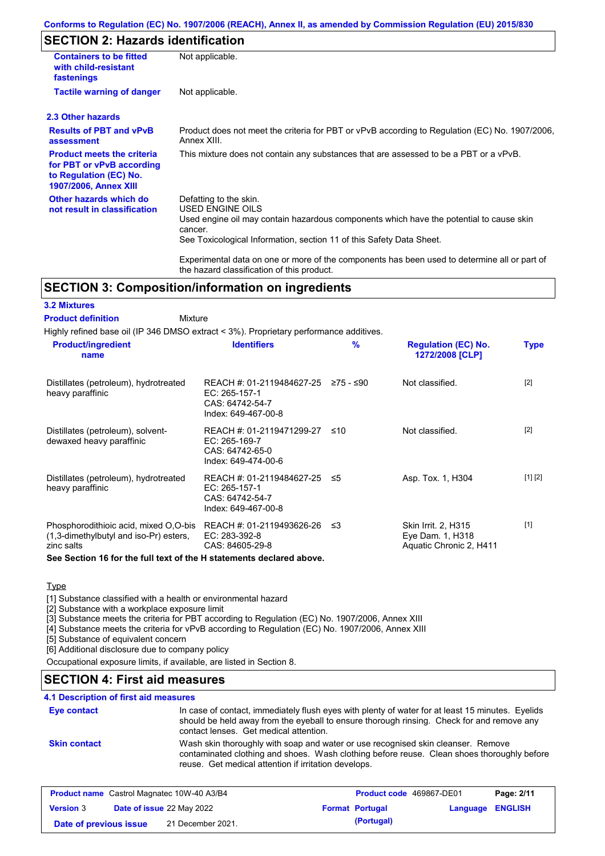#### **Conforms to Regulation (EC) No. 1907/2006 (REACH), Annex II, as amended by Commission Regulation (EU) 2015/830**

# **SECTION 2: Hazards identification**

| <b>Containers to be fitted</b><br>with child-resistant<br>fastenings                                                     | Not applicable.                                                                                                                                                                                                          |  |  |  |
|--------------------------------------------------------------------------------------------------------------------------|--------------------------------------------------------------------------------------------------------------------------------------------------------------------------------------------------------------------------|--|--|--|
| <b>Tactile warning of danger</b>                                                                                         | Not applicable.                                                                                                                                                                                                          |  |  |  |
| 2.3 Other hazards                                                                                                        |                                                                                                                                                                                                                          |  |  |  |
| <b>Results of PBT and vPvB</b><br>assessment                                                                             | Product does not meet the criteria for PBT or vPvB according to Regulation (EC) No. 1907/2006,<br>Annex XIII.                                                                                                            |  |  |  |
| <b>Product meets the criteria</b><br>for PBT or vPvB according<br>to Regulation (EC) No.<br><b>1907/2006, Annex XIII</b> | This mixture does not contain any substances that are assessed to be a PBT or a vPvB.                                                                                                                                    |  |  |  |
| Other hazards which do<br>not result in classification                                                                   | Defatting to the skin.<br>USED ENGINE OILS<br>Used engine oil may contain hazardous components which have the potential to cause skin<br>cancer.<br>See Toxicological Information, section 11 of this Safety Data Sheet. |  |  |  |
|                                                                                                                          | Experimental data on one or more of the components has been used to determine all or part of                                                                                                                             |  |  |  |

## **SECTION 3: Composition/information on ingredients**

#### **3.2 Mixtures**

#### Mixture **Product definition**

Highly refined base oil (IP 346 DMSO extract < 3%). Proprietary performance additives.

the hazard classification of this product.

| <b>Product/ingredient</b><br>name                                                             | <b>Identifiers</b>                                                                      | $\frac{9}{6}$ | <b>Regulation (EC) No.</b><br>1272/2008 [CLP]                      | <b>Type</b> |
|-----------------------------------------------------------------------------------------------|-----------------------------------------------------------------------------------------|---------------|--------------------------------------------------------------------|-------------|
| Distillates (petroleum), hydrotreated<br>heavy paraffinic                                     | REACH #: 01-2119484627-25<br>EC: 265-157-1<br>CAS: 64742-54-7<br>Index: 649-467-00-8    | ≥75 - ≤90     | Not classified.                                                    | $[2]$       |
| Distillates (petroleum), solvent-<br>dewaxed heavy paraffinic                                 | REACH #: 01-2119471299-27<br>EC: 265-169-7<br>CAS: 64742-65-0<br>Index: 649-474-00-6    | ≤10           | Not classified.                                                    | $[2]$       |
| Distillates (petroleum), hydrotreated<br>heavy paraffinic                                     | REACH #: 01-2119484627-25 ≤5<br>EC: 265-157-1<br>CAS: 64742-54-7<br>Index: 649-467-00-8 |               | Asp. Tox. 1, H304                                                  | [1] [2]     |
| Phosphorodithioic acid, mixed O.O-bis<br>(1,3-dimethylbutyl and iso-Pr) esters,<br>zinc salts | REACH #: 01-2119493626-26<br>EC: 283-392-8<br>CAS: 84605-29-8                           | -≤3           | Skin Irrit. 2, H315<br>Eye Dam. 1, H318<br>Aquatic Chronic 2, H411 | $[1]$       |

#### **See Section 16 for the full text of the H statements declared above.**

#### **Type**

[1] Substance classified with a health or environmental hazard

[2] Substance with a workplace exposure limit

[3] Substance meets the criteria for PBT according to Regulation (EC) No. 1907/2006, Annex XIII

[4] Substance meets the criteria for vPvB according to Regulation (EC) No. 1907/2006, Annex XIII

[5] Substance of equivalent concern

[6] Additional disclosure due to company policy

Occupational exposure limits, if available, are listed in Section 8.

# **SECTION 4: First aid measures**

### **4.1 Description of first aid measures**

| <b>Eye contact</b>  | In case of contact, immediately flush eyes with plenty of water for at least 15 minutes. Eyelids<br>should be held away from the eyeball to ensure thorough rinsing. Check for and remove any<br>contact lenses. Get medical attention. |
|---------------------|-----------------------------------------------------------------------------------------------------------------------------------------------------------------------------------------------------------------------------------------|
| <b>Skin contact</b> | Wash skin thoroughly with soap and water or use recognised skin cleanser. Remove<br>contaminated clothing and shoes. Wash clothing before reuse. Clean shoes thoroughly before<br>reuse. Get medical attention if irritation develops.  |

| <b>Product name</b> Castrol Magnatec 10W-40 A3/B4 |                                  | <b>Product code</b> 469867-DE01 |  | Page: 2/11             |                         |  |
|---------------------------------------------------|----------------------------------|---------------------------------|--|------------------------|-------------------------|--|
| <b>Version 3</b>                                  | <b>Date of issue 22 May 2022</b> |                                 |  | <b>Format Portugal</b> | <b>Language ENGLISH</b> |  |
| Date of previous issue                            |                                  | 21 December 2021.               |  | (Portugal)             |                         |  |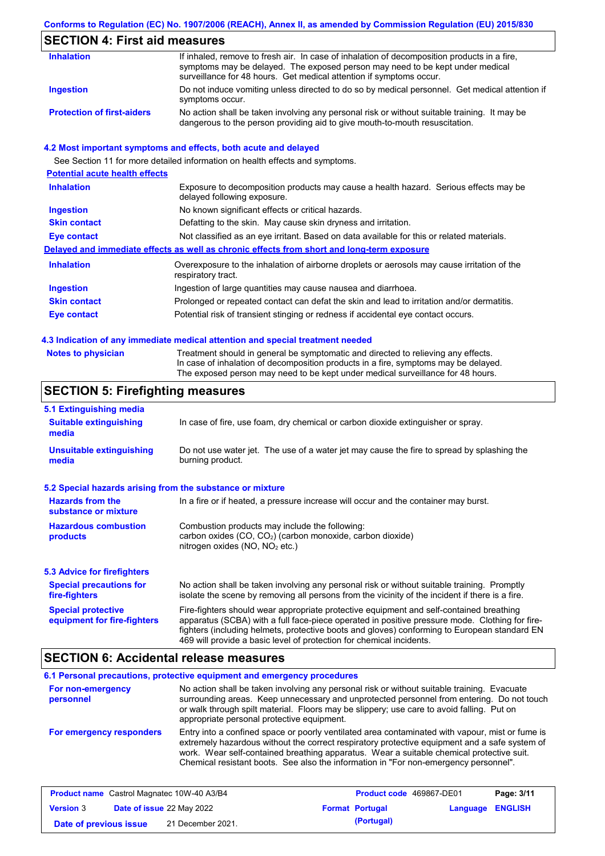### **Conforms to Regulation (EC) No. 1907/2006 (REACH), Annex II, as amended by Commission Regulation (EU) 2015/830**

## **SECTION 4: First aid measures**

| <b>Inhalation</b>                 | If inhaled, remove to fresh air. In case of inhalation of decomposition products in a fire,<br>symptoms may be delayed. The exposed person may need to be kept under medical<br>surveillance for 48 hours. Get medical attention if symptoms occur. |
|-----------------------------------|-----------------------------------------------------------------------------------------------------------------------------------------------------------------------------------------------------------------------------------------------------|
| Ingestion                         | Do not induce vomiting unless directed to do so by medical personnel. Get medical attention if<br>symptoms occur.                                                                                                                                   |
| <b>Protection of first-aiders</b> | No action shall be taken involving any personal risk or without suitable training. It may be<br>dangerous to the person providing aid to give mouth-to-mouth resuscitation.                                                                         |

#### **4.2 Most important symptoms and effects, both acute and delayed**

See Section 11 for more detailed information on health effects and symptoms. **Potential acute health effects Inhalation** Exposure to decomposition products may cause a health hazard. Serious effects may be delayed following exposure. **Ingestion** No known significant effects or critical hazards. **Skin contact** Defatting to the skin. May cause skin dryness and irritation. **Eye contact** Not classified as an eye irritant. Based on data available for this or related materials. **Delayed and immediate effects as well as chronic effects from short and long-term exposure Inhalation Ingestion Skin contact Eye contact** Overexposure to the inhalation of airborne droplets or aerosols may cause irritation of the respiratory tract. Ingestion of large quantities may cause nausea and diarrhoea. Prolonged or repeated contact can defat the skin and lead to irritation and/or dermatitis. Potential risk of transient stinging or redness if accidental eye contact occurs.

#### **4.3 Indication of any immediate medical attention and special treatment needed**

Treatment should in general be symptomatic and directed to relieving any effects. In case of inhalation of decomposition products in a fire, symptoms may be delayed. The exposed person may need to be kept under medical surveillance for 48 hours.

### **SECTION 5: Firefighting measures**

| 5.1 Extinguishing media                                                                                                                                                                                     |                                                                                                                                                                                                                                                                                                                                                                   |  |
|-------------------------------------------------------------------------------------------------------------------------------------------------------------------------------------------------------------|-------------------------------------------------------------------------------------------------------------------------------------------------------------------------------------------------------------------------------------------------------------------------------------------------------------------------------------------------------------------|--|
| <b>Suitable extinguishing</b><br>media                                                                                                                                                                      | In case of fire, use foam, dry chemical or carbon dioxide extinguisher or spray.                                                                                                                                                                                                                                                                                  |  |
| Do not use water jet. The use of a water jet may cause the fire to spread by splashing the<br><b>Unsuitable extinguishing</b><br>burning product.<br>media                                                  |                                                                                                                                                                                                                                                                                                                                                                   |  |
| 5.2 Special hazards arising from the substance or mixture                                                                                                                                                   |                                                                                                                                                                                                                                                                                                                                                                   |  |
| <b>Hazards from the</b><br>substance or mixture                                                                                                                                                             | In a fire or if heated, a pressure increase will occur and the container may burst.                                                                                                                                                                                                                                                                               |  |
| <b>Hazardous combustion</b><br>Combustion products may include the following:<br>carbon oxides (CO, CO <sub>2</sub> ) (carbon monoxide, carbon dioxide)<br>products<br>nitrogen oxides ( $NO$ , $NO2$ etc.) |                                                                                                                                                                                                                                                                                                                                                                   |  |
| <b>5.3 Advice for firefighters</b>                                                                                                                                                                          |                                                                                                                                                                                                                                                                                                                                                                   |  |
| <b>Special precautions for</b><br>fire-fighters                                                                                                                                                             | No action shall be taken involving any personal risk or without suitable training. Promptly<br>isolate the scene by removing all persons from the vicinity of the incident if there is a fire.                                                                                                                                                                    |  |
| <b>Special protective</b><br>equipment for fire-fighters                                                                                                                                                    | Fire-fighters should wear appropriate protective equipment and self-contained breathing<br>apparatus (SCBA) with a full face-piece operated in positive pressure mode. Clothing for fire-<br>fighters (including helmets, protective boots and gloves) conforming to European standard EN<br>469 will provide a basic level of protection for chemical incidents. |  |

### **SECTION 6: Accidental release measures**

#### **6.1 Personal precautions, protective equipment and emergency procedures For non-emergency personnel For emergency responders** No action shall be taken involving any personal risk or without suitable training. Evacuate surrounding areas. Keep unnecessary and unprotected personnel from entering. Do not touch or walk through spilt material. Floors may be slippery; use care to avoid falling. Put on appropriate personal protective equipment. Entry into a confined space or poorly ventilated area contaminated with vapour, mist or fume is extremely hazardous without the correct respiratory protective equipment and a safe system of work. Wear self-contained breathing apparatus. Wear a suitable chemical protective suit. Chemical resistant boots. See also the information in "For non-emergency personnel".

| <b>Product name</b> Castrol Magnatec 10W-40 A3/B4 |                                  |                   | <b>Product code</b> 469867-DE01 |                        | Page: 3/11       |  |
|---------------------------------------------------|----------------------------------|-------------------|---------------------------------|------------------------|------------------|--|
| <b>Version 3</b>                                  | <b>Date of issue 22 May 2022</b> |                   |                                 | <b>Format Portugal</b> | Language ENGLISH |  |
| Date of previous issue                            |                                  | 21 December 2021. |                                 | (Portugal)             |                  |  |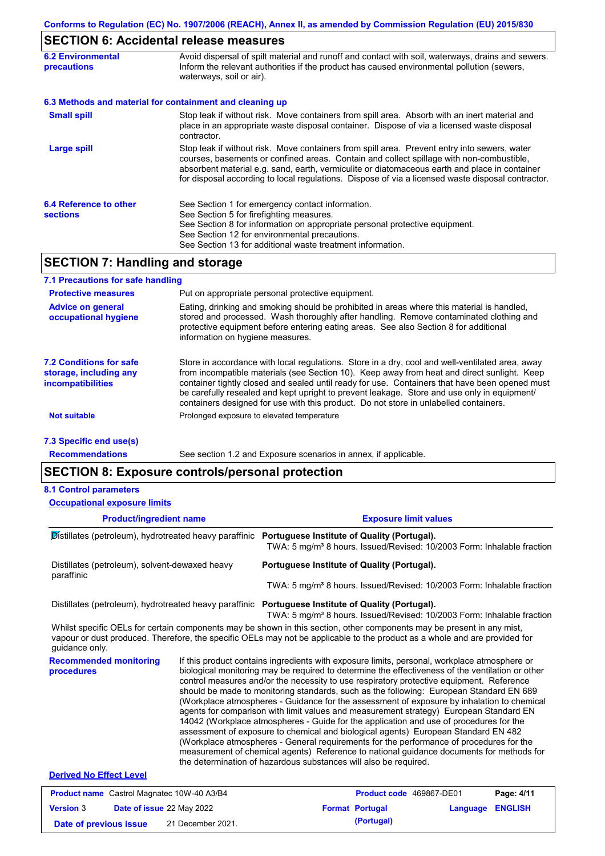## **SECTION 6: Accidental release measures**

| <b>6.2 Environmental</b><br><b>precautions</b> | Avoid dispersal of spilt material and runoff and contact with soil, waterways, drains and sewers.<br>Inform the relevant authorities if the product has caused environmental pollution (sewers,<br>waterways, soil or air).                                                                                                                                                                    |  |  |
|------------------------------------------------|------------------------------------------------------------------------------------------------------------------------------------------------------------------------------------------------------------------------------------------------------------------------------------------------------------------------------------------------------------------------------------------------|--|--|
|                                                | 6.3 Methods and material for containment and cleaning up                                                                                                                                                                                                                                                                                                                                       |  |  |
| <b>Small spill</b>                             | Stop leak if without risk. Move containers from spill area. Absorb with an inert material and<br>place in an appropriate waste disposal container. Dispose of via a licensed waste disposal<br>contractor.                                                                                                                                                                                     |  |  |
| <b>Large spill</b>                             | Stop leak if without risk. Move containers from spill area. Prevent entry into sewers, water<br>courses, basements or confined areas. Contain and collect spillage with non-combustible,<br>absorbent material e.g. sand, earth, vermiculite or diatomaceous earth and place in container<br>for disposal according to local regulations. Dispose of via a licensed waste disposal contractor. |  |  |
| 6.4 Reference to other<br><b>sections</b>      | See Section 1 for emergency contact information.<br>See Section 5 for firefighting measures.<br>See Section 8 for information on appropriate personal protective equipment.<br>See Section 12 for environmental precautions.<br>See Section 13 for additional waste treatment information.                                                                                                     |  |  |
|                                                |                                                                                                                                                                                                                                                                                                                                                                                                |  |  |

## **SECTION 7: Handling and storage**

| 7.1 Precautions for safe handling                                                    |                                                                                                                                                                                                                                                                                                                                                                                                                                                                                          |
|--------------------------------------------------------------------------------------|------------------------------------------------------------------------------------------------------------------------------------------------------------------------------------------------------------------------------------------------------------------------------------------------------------------------------------------------------------------------------------------------------------------------------------------------------------------------------------------|
| <b>Protective measures</b>                                                           | Put on appropriate personal protective equipment.                                                                                                                                                                                                                                                                                                                                                                                                                                        |
| <b>Advice on general</b><br>occupational hygiene                                     | Eating, drinking and smoking should be prohibited in areas where this material is handled,<br>stored and processed. Wash thoroughly after handling. Remove contaminated clothing and<br>protective equipment before entering eating areas. See also Section 8 for additional<br>information on hygiene measures.                                                                                                                                                                         |
| <b>7.2 Conditions for safe</b><br>storage, including any<br><i>incompatibilities</i> | Store in accordance with local requlations. Store in a dry, cool and well-ventilated area, away<br>from incompatible materials (see Section 10). Keep away from heat and direct sunlight. Keep<br>container tightly closed and sealed until ready for use. Containers that have been opened must<br>be carefully resealed and kept upright to prevent leakage. Store and use only in equipment/<br>containers designed for use with this product. Do not store in unlabelled containers. |
| <b>Not suitable</b>                                                                  | Prolonged exposure to elevated temperature                                                                                                                                                                                                                                                                                                                                                                                                                                               |
| 7.3 Specific end use(s)                                                              |                                                                                                                                                                                                                                                                                                                                                                                                                                                                                          |
| <b>Recommendations</b>                                                               | See section 1.2 and Exposure scenarios in annex, if applicable.                                                                                                                                                                                                                                                                                                                                                                                                                          |

## **SECTION 8: Exposure controls/personal protection**

#### **8.1 Control parameters**

**Product/ingredient name Exposure limit values Recommended monitoring procedures** If this product contains ingredients with exposure limits, personal, workplace atmosphere or biological monitoring may be required to determine the effectiveness of the ventilation or other control measures and/or the necessity to use respiratory protective equipment. Reference should be made to monitoring standards, such as the following: European Standard EN 689 (Workplace atmospheres - Guidance for the assessment of exposure by inhalation to chemical agents for comparison with limit values and measurement strategy) European Standard EN 14042 (Workplace atmospheres - Guide for the application and use of procedures for the assessment of exposure to chemical and biological agents) European Standard EN 482 Whilst specific OELs for certain components may be shown in this section, other components may be present in any mist, vapour or dust produced. Therefore, the specific OELs may not be applicable to the product as a whole and are provided for guidance only. **Occupational exposure limits** Distillates (petroleum), hydrotreated heavy paraffinic **Portuguese Institute of Quality (Portugal).** TWA: 5 mg/m<sup>3</sup> 8 hours. Issued/Revised: 10/2003 Form: Inhalable fraction Distillates (petroleum), solvent-dewaxed heavy paraffinic **Portuguese Institute of Quality (Portugal).** TWA: 5 mg/m<sup>3</sup> 8 hours. Issued/Revised: 10/2003 Form: Inhalable fraction Distillates (petroleum), hydrotreated heavy paraffinic **Portuguese Institute of Quality (Portugal).** TWA: 5 mg/m<sup>3</sup> 8 hours. Issued/Revised: 10/2003 Form: Inhalable fraction

(Workplace atmospheres - General requirements for the performance of procedures for the measurement of chemical agents) Reference to national guidance documents for methods for

#### **Derived No Effect Level**

|                        | <b>Product name</b> Castrol Magnatec 10W-40 A3/B4 | <b>Product code</b> 469867-DE01 |                         | Page: 4/11 |
|------------------------|---------------------------------------------------|---------------------------------|-------------------------|------------|
| <b>Version 3</b>       | <b>Date of issue 22 May 2022</b>                  | <b>Format Portugal</b>          | <b>Language ENGLISH</b> |            |
| Date of previous issue | 21 December 2021.                                 | (Portugal)                      |                         |            |

the determination of hazardous substances will also be required.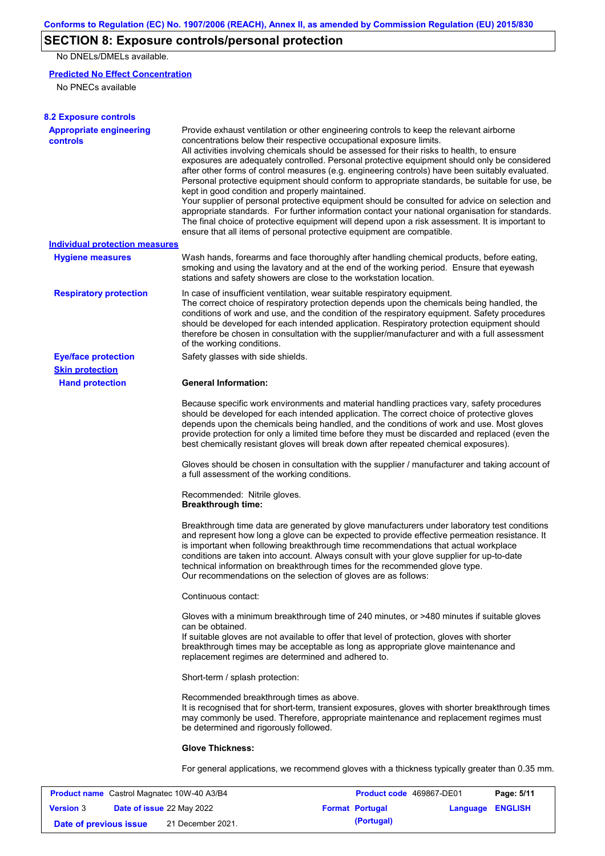# **SECTION 8: Exposure controls/personal protection**

No DNELs/DMELs available.

### **Predicted No Effect Concentration**

No PNECs available

| <b>8.2 Exposure controls</b>                      |                                                                                                                                                                                                                                                                                                                                                                                                                                                                                                                                                                                                                                                                                                                                                                                                                                                                                                                                                                                                         |
|---------------------------------------------------|---------------------------------------------------------------------------------------------------------------------------------------------------------------------------------------------------------------------------------------------------------------------------------------------------------------------------------------------------------------------------------------------------------------------------------------------------------------------------------------------------------------------------------------------------------------------------------------------------------------------------------------------------------------------------------------------------------------------------------------------------------------------------------------------------------------------------------------------------------------------------------------------------------------------------------------------------------------------------------------------------------|
| <b>Appropriate engineering</b><br><b>controls</b> | Provide exhaust ventilation or other engineering controls to keep the relevant airborne<br>concentrations below their respective occupational exposure limits.<br>All activities involving chemicals should be assessed for their risks to health, to ensure<br>exposures are adequately controlled. Personal protective equipment should only be considered<br>after other forms of control measures (e.g. engineering controls) have been suitably evaluated.<br>Personal protective equipment should conform to appropriate standards, be suitable for use, be<br>kept in good condition and properly maintained.<br>Your supplier of personal protective equipment should be consulted for advice on selection and<br>appropriate standards. For further information contact your national organisation for standards.<br>The final choice of protective equipment will depend upon a risk assessment. It is important to<br>ensure that all items of personal protective equipment are compatible. |
| Individual protection measures                    |                                                                                                                                                                                                                                                                                                                                                                                                                                                                                                                                                                                                                                                                                                                                                                                                                                                                                                                                                                                                         |
| <b>Hygiene measures</b>                           | Wash hands, forearms and face thoroughly after handling chemical products, before eating,<br>smoking and using the lavatory and at the end of the working period. Ensure that eyewash<br>stations and safety showers are close to the workstation location.                                                                                                                                                                                                                                                                                                                                                                                                                                                                                                                                                                                                                                                                                                                                             |
| <b>Respiratory protection</b>                     | In case of insufficient ventilation, wear suitable respiratory equipment.<br>The correct choice of respiratory protection depends upon the chemicals being handled, the<br>conditions of work and use, and the condition of the respiratory equipment. Safety procedures<br>should be developed for each intended application. Respiratory protection equipment should<br>therefore be chosen in consultation with the supplier/manufacturer and with a full assessment<br>of the working conditions.                                                                                                                                                                                                                                                                                                                                                                                                                                                                                                   |
| <b>Eye/face protection</b>                        | Safety glasses with side shields.                                                                                                                                                                                                                                                                                                                                                                                                                                                                                                                                                                                                                                                                                                                                                                                                                                                                                                                                                                       |
| <b>Skin protection</b>                            |                                                                                                                                                                                                                                                                                                                                                                                                                                                                                                                                                                                                                                                                                                                                                                                                                                                                                                                                                                                                         |
| <b>Hand protection</b>                            | <b>General Information:</b>                                                                                                                                                                                                                                                                                                                                                                                                                                                                                                                                                                                                                                                                                                                                                                                                                                                                                                                                                                             |
|                                                   | Because specific work environments and material handling practices vary, safety procedures<br>should be developed for each intended application. The correct choice of protective gloves<br>depends upon the chemicals being handled, and the conditions of work and use. Most gloves<br>provide protection for only a limited time before they must be discarded and replaced (even the<br>best chemically resistant gloves will break down after repeated chemical exposures).                                                                                                                                                                                                                                                                                                                                                                                                                                                                                                                        |
|                                                   | Gloves should be chosen in consultation with the supplier / manufacturer and taking account of<br>a full assessment of the working conditions.                                                                                                                                                                                                                                                                                                                                                                                                                                                                                                                                                                                                                                                                                                                                                                                                                                                          |
|                                                   | Recommended: Nitrile gloves.<br><b>Breakthrough time:</b>                                                                                                                                                                                                                                                                                                                                                                                                                                                                                                                                                                                                                                                                                                                                                                                                                                                                                                                                               |
|                                                   | Breakthrough time data are generated by glove manufacturers under laboratory test conditions<br>and represent how long a glove can be expected to provide effective permeation resistance. It<br>is important when following breakthrough time recommendations that actual workplace<br>conditions are taken into account. Always consult with your glove supplier for up-to-date<br>technical information on breakthrough times for the recommended glove type.<br>Our recommendations on the selection of gloves are as follows:                                                                                                                                                                                                                                                                                                                                                                                                                                                                      |
|                                                   | Continuous contact:                                                                                                                                                                                                                                                                                                                                                                                                                                                                                                                                                                                                                                                                                                                                                                                                                                                                                                                                                                                     |
|                                                   | Gloves with a minimum breakthrough time of 240 minutes, or >480 minutes if suitable gloves<br>can be obtained.<br>If suitable gloves are not available to offer that level of protection, gloves with shorter<br>breakthrough times may be acceptable as long as appropriate glove maintenance and<br>replacement regimes are determined and adhered to.                                                                                                                                                                                                                                                                                                                                                                                                                                                                                                                                                                                                                                                |
|                                                   | Short-term / splash protection:                                                                                                                                                                                                                                                                                                                                                                                                                                                                                                                                                                                                                                                                                                                                                                                                                                                                                                                                                                         |
|                                                   | Recommended breakthrough times as above.<br>It is recognised that for short-term, transient exposures, gloves with shorter breakthrough times<br>may commonly be used. Therefore, appropriate maintenance and replacement regimes must<br>be determined and rigorously followed.                                                                                                                                                                                                                                                                                                                                                                                                                                                                                                                                                                                                                                                                                                                        |
|                                                   | <b>Glove Thickness:</b>                                                                                                                                                                                                                                                                                                                                                                                                                                                                                                                                                                                                                                                                                                                                                                                                                                                                                                                                                                                 |
|                                                   | For general applications, we recommend gloves with a thickness typically greater than 0.35 mm.                                                                                                                                                                                                                                                                                                                                                                                                                                                                                                                                                                                                                                                                                                                                                                                                                                                                                                          |

|                        | <b>Product name</b> Castrol Magnatec 10W-40 A3/B4 | <b>Product code</b> 469867-DE01 |                         | Page: 5/11 |
|------------------------|---------------------------------------------------|---------------------------------|-------------------------|------------|
| <b>Version 3</b>       | <b>Date of issue 22 May 2022</b>                  | <b>Format Portugal</b>          | <b>Language ENGLISH</b> |            |
| Date of previous issue | 21 December 2021.                                 | (Portugal)                      |                         |            |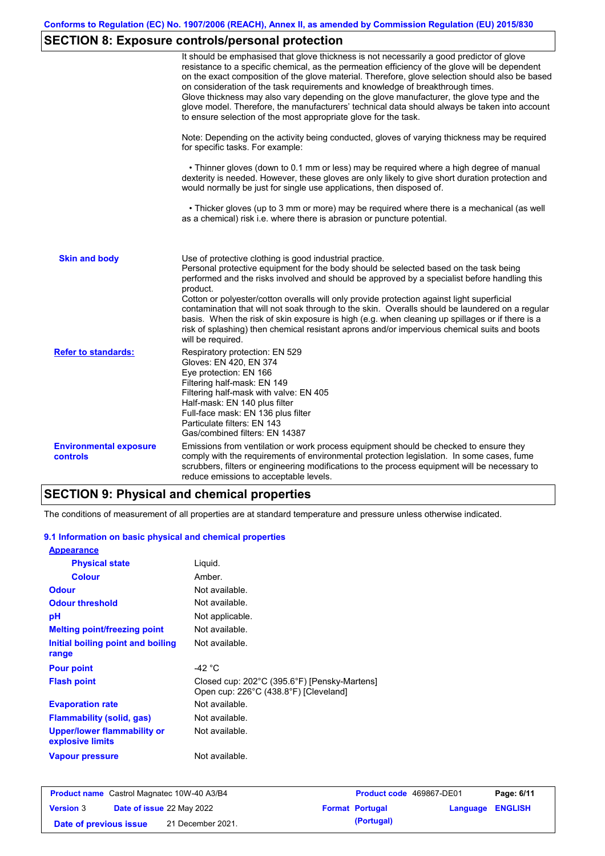# **SECTION 8: Exposure controls/personal protection**

|                                           | It should be emphasised that glove thickness is not necessarily a good predictor of glove<br>resistance to a specific chemical, as the permeation efficiency of the glove will be dependent<br>on the exact composition of the glove material. Therefore, glove selection should also be based<br>on consideration of the task requirements and knowledge of breakthrough times.<br>Glove thickness may also vary depending on the glove manufacturer, the glove type and the<br>glove model. Therefore, the manufacturers' technical data should always be taken into account<br>to ensure selection of the most appropriate glove for the task.                                     |
|-------------------------------------------|---------------------------------------------------------------------------------------------------------------------------------------------------------------------------------------------------------------------------------------------------------------------------------------------------------------------------------------------------------------------------------------------------------------------------------------------------------------------------------------------------------------------------------------------------------------------------------------------------------------------------------------------------------------------------------------|
|                                           | Note: Depending on the activity being conducted, gloves of varying thickness may be required<br>for specific tasks. For example:                                                                                                                                                                                                                                                                                                                                                                                                                                                                                                                                                      |
|                                           | • Thinner gloves (down to 0.1 mm or less) may be required where a high degree of manual<br>dexterity is needed. However, these gloves are only likely to give short duration protection and<br>would normally be just for single use applications, then disposed of.                                                                                                                                                                                                                                                                                                                                                                                                                  |
|                                           | • Thicker gloves (up to 3 mm or more) may be required where there is a mechanical (as well<br>as a chemical) risk i.e. where there is abrasion or puncture potential.                                                                                                                                                                                                                                                                                                                                                                                                                                                                                                                 |
| <b>Skin and body</b>                      | Use of protective clothing is good industrial practice.<br>Personal protective equipment for the body should be selected based on the task being<br>performed and the risks involved and should be approved by a specialist before handling this<br>product.<br>Cotton or polyester/cotton overalls will only provide protection against light superficial<br>contamination that will not soak through to the skin. Overalls should be laundered on a regular<br>basis. When the risk of skin exposure is high (e.g. when cleaning up spillages or if there is a<br>risk of splashing) then chemical resistant aprons and/or impervious chemical suits and boots<br>will be required. |
| <b>Refer to standards:</b>                | Respiratory protection: EN 529<br>Gloves: EN 420, EN 374<br>Eye protection: EN 166<br>Filtering half-mask: EN 149<br>Filtering half-mask with valve: EN 405<br>Half-mask: EN 140 plus filter<br>Full-face mask: EN 136 plus filter<br>Particulate filters: EN 143<br>Gas/combined filters: EN 14387                                                                                                                                                                                                                                                                                                                                                                                   |
| <b>Environmental exposure</b><br>controls | Emissions from ventilation or work process equipment should be checked to ensure they<br>comply with the requirements of environmental protection legislation. In some cases, fume<br>scrubbers, filters or engineering modifications to the process equipment will be necessary to<br>reduce emissions to acceptable levels.                                                                                                                                                                                                                                                                                                                                                         |

# **SECTION 9: Physical and chemical properties**

The conditions of measurement of all properties are at standard temperature and pressure unless otherwise indicated.

#### **9.1 Information on basic physical and chemical properties**

| <b>Appearance</b>                                      |                                                                                       |
|--------------------------------------------------------|---------------------------------------------------------------------------------------|
| <b>Physical state</b>                                  | Liguid.                                                                               |
| <b>Colour</b>                                          | Amber                                                                                 |
| <b>Odour</b>                                           | Not available.                                                                        |
| <b>Odour threshold</b>                                 | Not available.                                                                        |
| рH                                                     | Not applicable.                                                                       |
| <b>Melting point/freezing point</b>                    | Not available.                                                                        |
| Initial boiling point and boiling                      | Not available.                                                                        |
| range                                                  |                                                                                       |
| <b>Pour point</b>                                      | -42 $^{\circ}$ C                                                                      |
| <b>Flash point</b>                                     | Closed cup: 202°C (395.6°F) [Pensky-Martens]<br>Open cup: 226°C (438.8°F) [Cleveland] |
| <b>Evaporation rate</b>                                | Not available.                                                                        |
| <b>Flammability (solid, gas)</b>                       | Not available.                                                                        |
| <b>Upper/lower flammability or</b><br>explosive limits | Not available.                                                                        |
| <b>Vapour pressure</b>                                 | Not available.                                                                        |

|                        | <b>Product name</b> Castrol Magnatec 10W-40 A3/B4 | <b>Product code</b> 469867-DE01 |                         | Page: 6/11 |
|------------------------|---------------------------------------------------|---------------------------------|-------------------------|------------|
| <b>Version 3</b>       | <b>Date of issue 22 May 2022</b>                  | <b>Format Portugal</b>          | <b>Language ENGLISH</b> |            |
| Date of previous issue | 21 December 2021.                                 | (Portugal)                      |                         |            |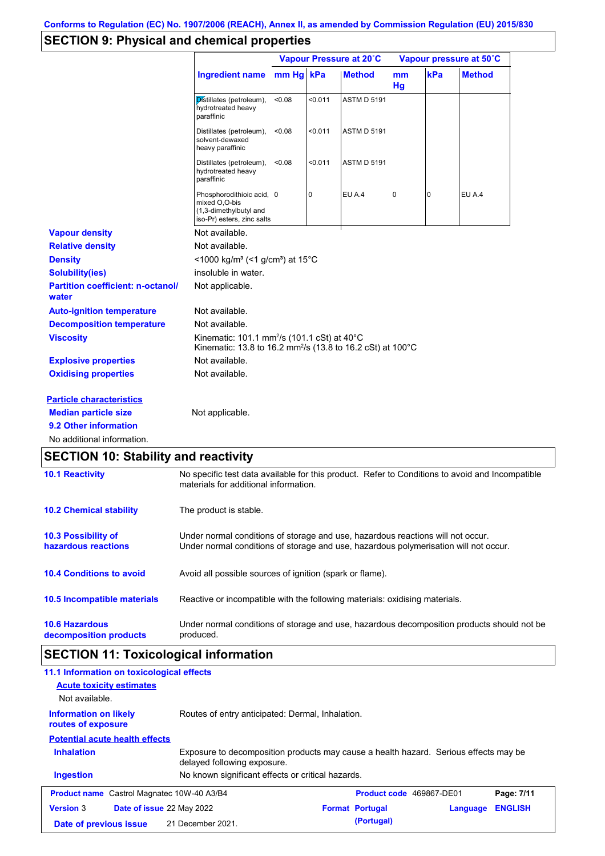# **SECTION 9: Physical and chemical properties**

|                                                   |                                                                                                                                          | Vapour Pressure at 20°C |                |                    | Vapour pressure at 50°C |     |               |
|---------------------------------------------------|------------------------------------------------------------------------------------------------------------------------------------------|-------------------------|----------------|--------------------|-------------------------|-----|---------------|
|                                                   | <b>Ingredient name</b>                                                                                                                   | mm Hg kPa               |                | <b>Method</b>      | mm<br>Hq                | kPa | <b>Method</b> |
|                                                   | Distillates (petroleum),<br>hydrotreated heavy<br>paraffinic                                                                             | <0.08                   | < 0.011        | <b>ASTM D 5191</b> |                         |     |               |
|                                                   | Distillates (petroleum),<br>solvent-dewaxed<br>heavy paraffinic                                                                          | < 0.08                  | < 0.011        | <b>ASTM D 5191</b> |                         |     |               |
|                                                   | Distillates (petroleum),<br>hydrotreated heavy<br>paraffinic                                                                             | < 0.08                  | < 0.011        | <b>ASTM D 5191</b> |                         |     |               |
|                                                   | Phosphorodithioic acid, 0<br>mixed O.O-bis<br>(1,3-dimethylbutyl and<br>iso-Pr) esters, zinc salts                                       |                         | $\overline{0}$ | EU A.4             | 0                       | 0   | EU A.4        |
| <b>Vapour density</b>                             | Not available.                                                                                                                           |                         |                |                    |                         |     |               |
| <b>Relative density</b>                           | Not available.                                                                                                                           |                         |                |                    |                         |     |               |
| <b>Density</b>                                    | <1000 kg/m <sup>3</sup> (<1 g/cm <sup>3</sup> ) at 15 <sup>°</sup> C                                                                     |                         |                |                    |                         |     |               |
| <b>Solubility(ies)</b>                            | insoluble in water.                                                                                                                      |                         |                |                    |                         |     |               |
| <b>Partition coefficient: n-octanol/</b><br>water | Not applicable.                                                                                                                          |                         |                |                    |                         |     |               |
| <b>Auto-ignition temperature</b>                  | Not available.                                                                                                                           |                         |                |                    |                         |     |               |
| <b>Decomposition temperature</b>                  | Not available.                                                                                                                           |                         |                |                    |                         |     |               |
| <b>Viscosity</b>                                  | Kinematic: 101.1 mm <sup>2</sup> /s (101.1 cSt) at 40°C<br>Kinematic: 13.8 to 16.2 mm <sup>2</sup> /s (13.8 to 16.2 cSt) at 100°C        |                         |                |                    |                         |     |               |
| <b>Explosive properties</b>                       | Not available.                                                                                                                           |                         |                |                    |                         |     |               |
| <b>Oxidising properties</b>                       | Not available.                                                                                                                           |                         |                |                    |                         |     |               |
| <b>Particle characteristics</b>                   |                                                                                                                                          |                         |                |                    |                         |     |               |
| <b>Median particle size</b>                       | Not applicable.                                                                                                                          |                         |                |                    |                         |     |               |
| 9.2 Other information                             |                                                                                                                                          |                         |                |                    |                         |     |               |
| No additional information.                        |                                                                                                                                          |                         |                |                    |                         |     |               |
| <b>SECTION 10: Stability and reactivity</b>       |                                                                                                                                          |                         |                |                    |                         |     |               |
| <b>10.1 Reactivity</b>                            | No specific test data available for this product. Refer to Conditions to avoid and Incompatible<br>materials for additional information. |                         |                |                    |                         |     |               |
| <b>10.2 Chemical stability</b>                    | The product is stable.                                                                                                                   |                         |                |                    |                         |     |               |

| <b>10.3 Possibility of</b><br>hazardous reactions | Under normal conditions of storage and use, hazardous reactions will not occur.<br>Under normal conditions of storage and use, hazardous polymerisation will not occur. |
|---------------------------------------------------|-------------------------------------------------------------------------------------------------------------------------------------------------------------------------|
| <b>10.4 Conditions to avoid</b>                   | Avoid all possible sources of ignition (spark or flame).                                                                                                                |
| 10.5 Incompatible materials                       | Reactive or incompatible with the following materials: oxidising materials.                                                                                             |
| <b>10.6 Hazardous</b><br>decomposition products   | Under normal conditions of storage and use, hazardous decomposition products should not be<br>produced.                                                                 |

# **SECTION 11: Toxicological information**

| 11.1 Information on toxicological effects                                                                                                |                                                   |  |                                 |          |                |
|------------------------------------------------------------------------------------------------------------------------------------------|---------------------------------------------------|--|---------------------------------|----------|----------------|
| <b>Acute toxicity estimates</b>                                                                                                          |                                                   |  |                                 |          |                |
| Not available.                                                                                                                           |                                                   |  |                                 |          |                |
| <b>Information on likely</b><br>routes of exposure                                                                                       | Routes of entry anticipated: Dermal, Inhalation.  |  |                                 |          |                |
| <b>Potential acute health effects</b>                                                                                                    |                                                   |  |                                 |          |                |
| <b>Inhalation</b><br>Exposure to decomposition products may cause a health hazard. Serious effects may be<br>delayed following exposure. |                                                   |  |                                 |          |                |
| <b>Ingestion</b>                                                                                                                         | No known significant effects or critical hazards. |  |                                 |          |                |
| <b>Product name</b> Castrol Magnatec 10W-40 A3/B4                                                                                        |                                                   |  | <b>Product code</b> 469867-DE01 |          | Page: 7/11     |
| <b>Version 3</b><br><b>Date of issue 22 May 2022</b>                                                                                     |                                                   |  | <b>Format Portugal</b>          | Language | <b>ENGLISH</b> |
| Date of previous issue                                                                                                                   | 21 December 2021.                                 |  | (Portugal)                      |          |                |
|                                                                                                                                          |                                                   |  |                                 |          |                |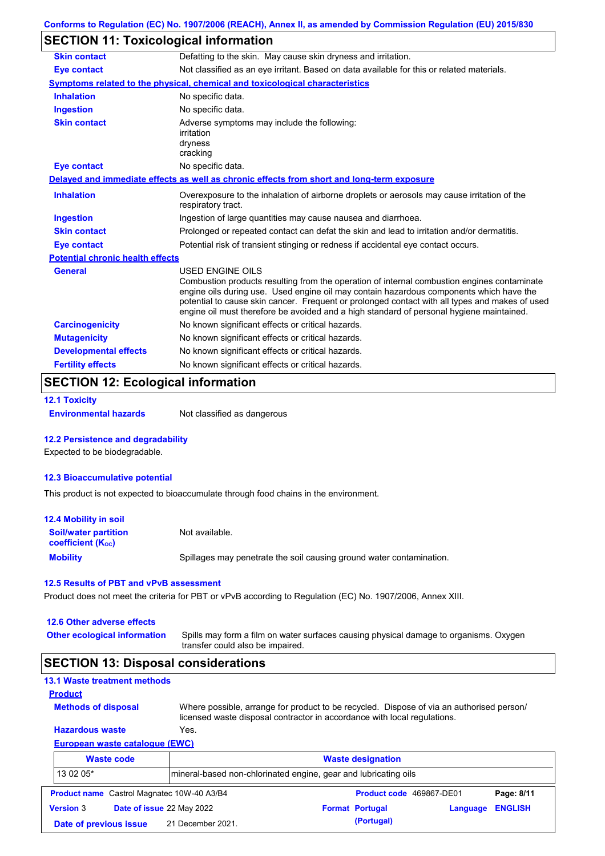# **SECTION 11: Toxicological information**

| <b>Skin contact</b>                     | Defatting to the skin. May cause skin dryness and irritation.                                                                                                                                                                                                                                                                                                                                                   |
|-----------------------------------------|-----------------------------------------------------------------------------------------------------------------------------------------------------------------------------------------------------------------------------------------------------------------------------------------------------------------------------------------------------------------------------------------------------------------|
| <b>Eye contact</b>                      | Not classified as an eye irritant. Based on data available for this or related materials.                                                                                                                                                                                                                                                                                                                       |
|                                         | Symptoms related to the physical, chemical and toxicological characteristics                                                                                                                                                                                                                                                                                                                                    |
| <b>Inhalation</b>                       | No specific data.                                                                                                                                                                                                                                                                                                                                                                                               |
| <b>Ingestion</b>                        | No specific data.                                                                                                                                                                                                                                                                                                                                                                                               |
| <b>Skin contact</b>                     | Adverse symptoms may include the following:<br>irritation<br>dryness<br>cracking                                                                                                                                                                                                                                                                                                                                |
| <b>Eye contact</b>                      | No specific data.                                                                                                                                                                                                                                                                                                                                                                                               |
|                                         | Delayed and immediate effects as well as chronic effects from short and long-term exposure                                                                                                                                                                                                                                                                                                                      |
| <b>Inhalation</b>                       | Overexposure to the inhalation of airborne droplets or aerosols may cause irritation of the<br>respiratory tract.                                                                                                                                                                                                                                                                                               |
| <b>Ingestion</b>                        | Ingestion of large quantities may cause nausea and diarrhoea.                                                                                                                                                                                                                                                                                                                                                   |
| <b>Skin contact</b>                     | Prolonged or repeated contact can defat the skin and lead to irritation and/or dermatitis.                                                                                                                                                                                                                                                                                                                      |
| Eye contact                             | Potential risk of transient stinging or redness if accidental eye contact occurs.                                                                                                                                                                                                                                                                                                                               |
| <b>Potential chronic health effects</b> |                                                                                                                                                                                                                                                                                                                                                                                                                 |
| <b>General</b>                          | <b>USED ENGINE OILS</b><br>Combustion products resulting from the operation of internal combustion engines contaminate<br>engine oils during use. Used engine oil may contain hazardous components which have the<br>potential to cause skin cancer. Frequent or prolonged contact with all types and makes of used<br>engine oil must therefore be avoided and a high standard of personal hygiene maintained. |
| <b>Carcinogenicity</b>                  | No known significant effects or critical hazards.                                                                                                                                                                                                                                                                                                                                                               |
| <b>Mutagenicity</b>                     | No known significant effects or critical hazards.                                                                                                                                                                                                                                                                                                                                                               |
| <b>Developmental effects</b>            | No known significant effects or critical hazards.                                                                                                                                                                                                                                                                                                                                                               |
| <b>Fertility effects</b>                | No known significant effects or critical hazards.                                                                                                                                                                                                                                                                                                                                                               |

# **SECTION 12: Ecological information**

```
12.1 Toxicity
```
**Environmental hazards** Not classified as dangerous

#### **12.2 Persistence and degradability**

Expected to be biodegradable.

#### **12.3 Bioaccumulative potential**

This product is not expected to bioaccumulate through food chains in the environment.

| <b>12.4 Mobility in soil</b>                            |                                                                      |
|---------------------------------------------------------|----------------------------------------------------------------------|
| <b>Soil/water partition</b><br><b>coefficient (Koc)</b> | Not available.                                                       |
| <b>Mobility</b>                                         | Spillages may penetrate the soil causing ground water contamination. |

#### **12.5 Results of PBT and vPvB assessment**

Product does not meet the criteria for PBT or vPvB according to Regulation (EC) No. 1907/2006, Annex XIII.

#### **12.6 Other adverse effects**

**Other ecological information**

Spills may form a film on water surfaces causing physical damage to organisms. Oxygen transfer could also be impaired.

### **SECTION 13: Disposal considerations**

### **13.1 Waste treatment methods**

**Methods of disposal**

**Product**

Where possible, arrange for product to be recycled. Dispose of via an authorised person/ licensed waste disposal contractor in accordance with local regulations.

#### **European waste catalogue (EWC) Hazardous waste** Yes.

|                        | <b>Waste code</b>                                 | <b>Waste designation</b><br>mineral-based non-chlorinated engine, gear and lubricating oils |  |                          |          |                |
|------------------------|---------------------------------------------------|---------------------------------------------------------------------------------------------|--|--------------------------|----------|----------------|
| 13 02 05*              |                                                   |                                                                                             |  |                          |          |                |
|                        | <b>Product name</b> Castrol Magnatec 10W-40 A3/B4 |                                                                                             |  | Product code 469867-DE01 |          | Page: 8/11     |
| <b>Version 3</b>       | Date of issue 22 May 2022                         |                                                                                             |  | <b>Format Portugal</b>   | Language | <b>ENGLISH</b> |
| Date of previous issue |                                                   | 21 December 2021.                                                                           |  | (Portugal)               |          |                |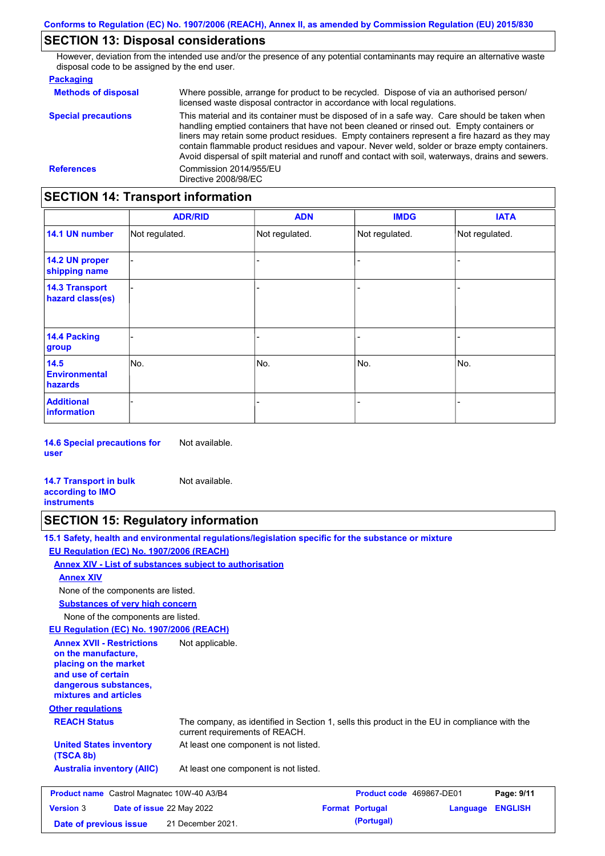# **SECTION 13: Disposal considerations**

However, deviation from the intended use and/or the presence of any potential contaminants may require an alternative waste disposal code to be assigned by the end user.

| <b>Packaging</b>           |                                                                                                                                                                                                                                                                                                                                                                                                                                                                                                 |
|----------------------------|-------------------------------------------------------------------------------------------------------------------------------------------------------------------------------------------------------------------------------------------------------------------------------------------------------------------------------------------------------------------------------------------------------------------------------------------------------------------------------------------------|
| <b>Methods of disposal</b> | Where possible, arrange for product to be recycled. Dispose of via an authorised person/<br>licensed waste disposal contractor in accordance with local regulations.                                                                                                                                                                                                                                                                                                                            |
| <b>Special precautions</b> | This material and its container must be disposed of in a safe way. Care should be taken when<br>handling emptied containers that have not been cleaned or rinsed out. Empty containers or<br>liners may retain some product residues. Empty containers represent a fire hazard as they may<br>contain flammable product residues and vapour. Never weld, solder or braze empty containers.<br>Avoid dispersal of spilt material and runoff and contact with soil, waterways, drains and sewers. |
| <b>References</b>          | Commission 2014/955/EU<br>Directive 2008/98/EC                                                                                                                                                                                                                                                                                                                                                                                                                                                  |

# **SECTION 14: Transport information**

|                                           | <b>ADR/RID</b> | <b>ADN</b>     | <b>IMDG</b>    | <b>IATA</b>    |
|-------------------------------------------|----------------|----------------|----------------|----------------|
| 14.1 UN number                            | Not regulated. | Not regulated. | Not regulated. | Not regulated. |
| 14.2 UN proper<br>shipping name           |                |                |                |                |
| <b>14.3 Transport</b><br>hazard class(es) |                |                |                |                |
| <b>14.4 Packing</b><br>group              |                |                |                |                |
| 14.5<br><b>Environmental</b><br>hazards   | No.            | No.            | No.            | No.            |
| <b>Additional</b><br>information          |                |                |                |                |

**14.6 Special precautions for user** Not available.

**14.7 Transport in bulk according to IMO instruments** Not available.

## **SECTION 15: Regulatory information**

**15.1 Safety, health and environmental regulations/legislation specific for the substance or mixture EU Regulation (EC) No. 1907/2006 (REACH)**

**Annex XIV - List of substances subject to authorisation**

**Annex XIV**

None of the components are listed.

**Substances of very high concern**

None of the components are listed.

**EU Regulation (EC) No. 1907/2006 (REACH)**

| <b>Annex XVII - Restrictions</b><br>on the manufacture,<br>placing on the market<br>and use of certain<br>dangerous substances,<br>mixtures and articles<br><b>Other regulations</b> | Not applicable.                                                                                                                |                                 |                                    |  |
|--------------------------------------------------------------------------------------------------------------------------------------------------------------------------------------|--------------------------------------------------------------------------------------------------------------------------------|---------------------------------|------------------------------------|--|
| <b>REACH Status</b>                                                                                                                                                                  | The company, as identified in Section 1, sells this product in the EU in compliance with the<br>current requirements of REACH. |                                 |                                    |  |
| <b>United States inventory</b><br>(TSCA 8b)                                                                                                                                          | At least one component is not listed.                                                                                          |                                 |                                    |  |
| <b>Australia inventory (AIIC)</b>                                                                                                                                                    | At least one component is not listed.                                                                                          |                                 |                                    |  |
| <b>Product name</b> Castrol Magnatec 10W-40 A3/B4                                                                                                                                    |                                                                                                                                | <b>Product code</b> 469867-DE01 | Page: 9/11                         |  |
| Date of issue 22 May 2022<br><b>Version 3</b>                                                                                                                                        |                                                                                                                                | <b>Format Portugal</b>          | <b>FNGLISH</b><br><b>Angulario</b> |  |

| <b>Product name</b> Castrol Magnatec 10W-40 A3/B4    |  | <b>Product code</b> 469867-DE01 |                         | Page: 9/11 |  |
|------------------------------------------------------|--|---------------------------------|-------------------------|------------|--|
| <b>Date of issue 22 May 2022</b><br><b>Version 3</b> |  | <b>Format Portugal</b>          | <b>Language ENGLISH</b> |            |  |
| Date of previous issue                               |  | 21 December 2021.               | (Portugal)              |            |  |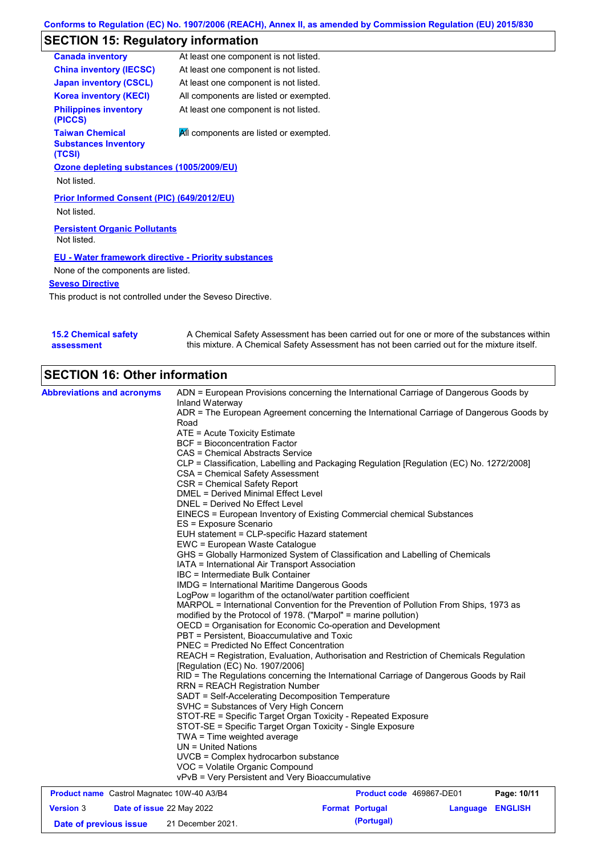# **SECTION 15: Regulatory information**

| At least one component is not listed.                       |
|-------------------------------------------------------------|
| At least one component is not listed.                       |
| At least one component is not listed.                       |
| All components are listed or exempted.                      |
| At least one component is not listed.                       |
| All components are listed or exempted.                      |
| Ozone depleting substances (1005/2009/EU)                   |
|                                                             |
| Prior Informed Consent (PIC) (649/2012/EU)                  |
|                                                             |
| <b>EU - Water framework directive - Priority substances</b> |
| None of the components are listed.                          |
|                                                             |
| <b>Persistent Organic Pollutants</b>                        |

This product is not controlled under the Seveso Directive.

| <b>15.2 Chemical safety</b> | A Chemical Safety Assessment has been carried out for one or more of the substances within  |
|-----------------------------|---------------------------------------------------------------------------------------------|
| assessment                  | this mixture. A Chemical Safety Assessment has not been carried out for the mixture itself. |

# **SECTION 16: Other information**

| <b>Abbreviations and acronyms</b>                 | ADN = European Provisions concerning the International Carriage of Dangerous Goods by                                                                                                                                                                                                                                                                                                      |                          |  |                         |  |  |  |
|---------------------------------------------------|--------------------------------------------------------------------------------------------------------------------------------------------------------------------------------------------------------------------------------------------------------------------------------------------------------------------------------------------------------------------------------------------|--------------------------|--|-------------------------|--|--|--|
|                                                   | Inland Waterway<br>ADR = The European Agreement concerning the International Carriage of Dangerous Goods by                                                                                                                                                                                                                                                                                |                          |  |                         |  |  |  |
|                                                   | Road                                                                                                                                                                                                                                                                                                                                                                                       |                          |  |                         |  |  |  |
|                                                   | ATE = Acute Toxicity Estimate                                                                                                                                                                                                                                                                                                                                                              |                          |  |                         |  |  |  |
|                                                   | <b>BCF</b> = Bioconcentration Factor<br>CAS = Chemical Abstracts Service<br>CLP = Classification, Labelling and Packaging Regulation [Regulation (EC) No. 1272/2008]<br>CSA = Chemical Safety Assessment                                                                                                                                                                                   |                          |  |                         |  |  |  |
|                                                   |                                                                                                                                                                                                                                                                                                                                                                                            |                          |  |                         |  |  |  |
|                                                   |                                                                                                                                                                                                                                                                                                                                                                                            |                          |  |                         |  |  |  |
|                                                   |                                                                                                                                                                                                                                                                                                                                                                                            |                          |  |                         |  |  |  |
|                                                   | CSR = Chemical Safety Report                                                                                                                                                                                                                                                                                                                                                               |                          |  |                         |  |  |  |
|                                                   | DMEL = Derived Minimal Effect Level                                                                                                                                                                                                                                                                                                                                                        |                          |  |                         |  |  |  |
|                                                   | DNEL = Derived No Effect Level                                                                                                                                                                                                                                                                                                                                                             |                          |  |                         |  |  |  |
|                                                   | EINECS = European Inventory of Existing Commercial chemical Substances<br>ES = Exposure Scenario                                                                                                                                                                                                                                                                                           |                          |  |                         |  |  |  |
|                                                   | EUH statement = CLP-specific Hazard statement                                                                                                                                                                                                                                                                                                                                              |                          |  |                         |  |  |  |
|                                                   | EWC = European Waste Catalogue                                                                                                                                                                                                                                                                                                                                                             |                          |  |                         |  |  |  |
|                                                   | GHS = Globally Harmonized System of Classification and Labelling of Chemicals                                                                                                                                                                                                                                                                                                              |                          |  |                         |  |  |  |
|                                                   | IATA = International Air Transport Association                                                                                                                                                                                                                                                                                                                                             |                          |  |                         |  |  |  |
|                                                   | IBC = Intermediate Bulk Container                                                                                                                                                                                                                                                                                                                                                          |                          |  |                         |  |  |  |
|                                                   | IMDG = International Maritime Dangerous Goods<br>LogPow = logarithm of the octanol/water partition coefficient<br>MARPOL = International Convention for the Prevention of Pollution From Ships, 1973 as<br>modified by the Protocol of 1978. ("Marpol" = marine pollution)<br>OECD = Organisation for Economic Co-operation and Development<br>PBT = Persistent, Bioaccumulative and Toxic |                          |  |                         |  |  |  |
|                                                   |                                                                                                                                                                                                                                                                                                                                                                                            |                          |  |                         |  |  |  |
|                                                   |                                                                                                                                                                                                                                                                                                                                                                                            |                          |  |                         |  |  |  |
|                                                   |                                                                                                                                                                                                                                                                                                                                                                                            |                          |  |                         |  |  |  |
|                                                   |                                                                                                                                                                                                                                                                                                                                                                                            |                          |  |                         |  |  |  |
|                                                   |                                                                                                                                                                                                                                                                                                                                                                                            |                          |  |                         |  |  |  |
|                                                   | <b>PNEC = Predicted No Effect Concentration</b>                                                                                                                                                                                                                                                                                                                                            |                          |  |                         |  |  |  |
|                                                   | REACH = Registration, Evaluation, Authorisation and Restriction of Chemicals Regulation<br>[Regulation (EC) No. 1907/2006]                                                                                                                                                                                                                                                                 |                          |  |                         |  |  |  |
|                                                   | RID = The Regulations concerning the International Carriage of Dangerous Goods by Rail<br><b>RRN = REACH Registration Number</b>                                                                                                                                                                                                                                                           |                          |  |                         |  |  |  |
|                                                   | SADT = Self-Accelerating Decomposition Temperature                                                                                                                                                                                                                                                                                                                                         |                          |  |                         |  |  |  |
|                                                   | SVHC = Substances of Very High Concern                                                                                                                                                                                                                                                                                                                                                     |                          |  |                         |  |  |  |
|                                                   | STOT-RE = Specific Target Organ Toxicity - Repeated Exposure<br>STOT-SE = Specific Target Organ Toxicity - Single Exposure<br>TWA = Time weighted average<br>$UN = United Nations$<br>UVCB = Complex hydrocarbon substance                                                                                                                                                                 |                          |  |                         |  |  |  |
|                                                   |                                                                                                                                                                                                                                                                                                                                                                                            |                          |  |                         |  |  |  |
|                                                   |                                                                                                                                                                                                                                                                                                                                                                                            |                          |  |                         |  |  |  |
|                                                   |                                                                                                                                                                                                                                                                                                                                                                                            |                          |  |                         |  |  |  |
|                                                   |                                                                                                                                                                                                                                                                                                                                                                                            |                          |  |                         |  |  |  |
|                                                   | VOC = Volatile Organic Compound                                                                                                                                                                                                                                                                                                                                                            |                          |  |                         |  |  |  |
|                                                   | vPvB = Very Persistent and Very Bioaccumulative                                                                                                                                                                                                                                                                                                                                            |                          |  |                         |  |  |  |
| <b>Product name</b> Castrol Magnatec 10W-40 A3/B4 |                                                                                                                                                                                                                                                                                                                                                                                            | Product code 469867-DE01 |  | Page: 10/11             |  |  |  |
| <b>Version 3</b><br>Date of issue 22 May 2022     |                                                                                                                                                                                                                                                                                                                                                                                            | <b>Format Portugal</b>   |  | <b>Language ENGLISH</b> |  |  |  |

**Date of previous issue (Portugal)** 21 December 2021.